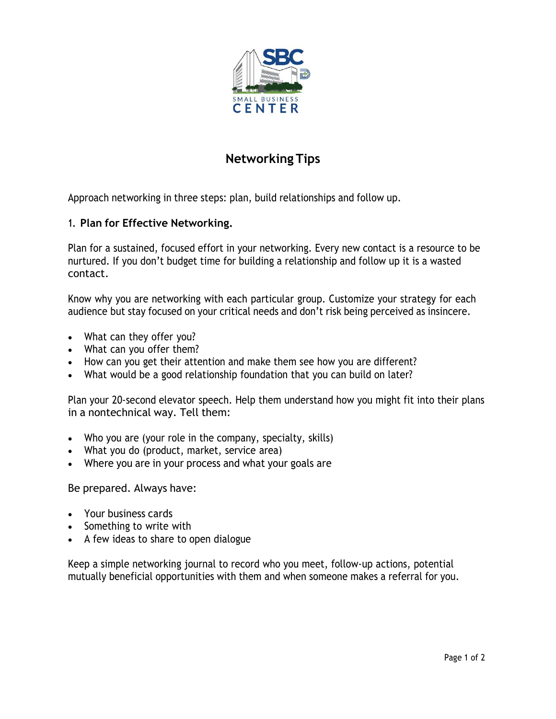

# **Networking Tips**

Approach networking in three steps: plan, build relationships and follow up.

## **1. Plan for Effective Networking.**

Plan for a sustained, focused effort in your networking. Every new contact is a resource to be nurtured. If you don't budget time for building a relationship and follow up it is a wasted contact.

Know why you are networking with each particular group. Customize your strategy for each audience but stay focused on your critical needs and don't risk being perceived as insincere.

- What can they offer you?
- What can you offer them?
- How can you get their attention and make them see how you are different?
- What would be a good relationship foundation that you can build on later?

Plan your 20-second elevator speech. Help them understand how you might fit into their plans in a nontechnical way. Tell them:

- Who you are (your role in the company, specialty, skills)
- What you do (product, market, service area)
- Where you are in your process and what your goals are

Be prepared. Always have:

- Your business cards
- Something to write with
- A few ideas to share to open dialogue

Keep a simple networking journal to record who you meet, follow-up actions, potential mutually beneficial opportunities with them and when someone makes a referral for you.